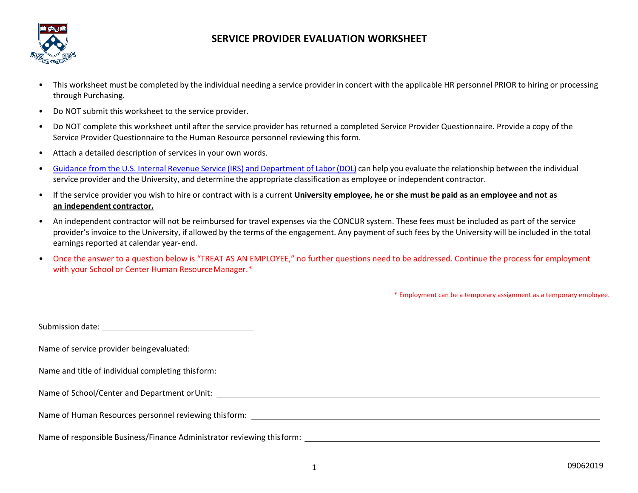

## **SERVICE PROVIDER EVALUATION WORKSHEET**

- This worksheet must be completed by the individual needing a service provider in concert with the applicable HR personnel PRIOR to hiring or processing through Purchasing.
- Do NOT submit this worksheet to the service provider.
- Do NOT complete this worksheet until after the service provider has returned a completed Service Provider Questionnaire. Provide a copy of the Service Provider Questionnaire to the Human Resource personnel reviewing this form.
- Attach a detailed description of services in your own words.
- Guidance from the U.S. [Internal Revenue Service](https://www.hr.upenn.edu/docs/default-source/service-provider-classification/irs-and-dol-guidance.pdf) (IRS) and Department of Labor(DOL) can help you evaluate the relationship between the individual service provider and the University, and determine the appropriate classification as employee or independent contractor.
- If the service provider you wish to hire or contract with is a current University employee, he or she must be paid as an employee and not as **an independent contractor.**
- An independent contractor will not be reimbursed for travel expenses via the CONCUR system. These fees must be included as part of the service provider's invoice to the University, if allowed by the terms of the engagement. Any payment of such fees by the University will be included in the total earnings reported at calendar year- end.
- Once the answer to a question below is "TREAT AS AN EMPLOYEE," no further questions need to be addressed. Continue the process for employment with your School or Center Human ResourceManager.\*

\* Employment can be a temporary assignment as a temporary employee.

| Name of responsible Business/Finance Administrator reviewing this form: |
|-------------------------------------------------------------------------|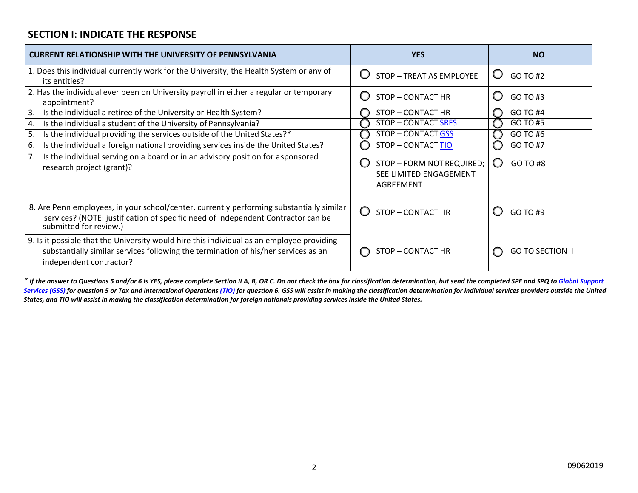## **SECTION I: INDICATE THE RESPONSE**

| <b>CURRENT RELATIONSHIP WITH THE UNIVERSITY OF PENNSYLVANIA</b>                                                                                                                                            | <b>YES</b>                                                                | <b>NO</b>               |
|------------------------------------------------------------------------------------------------------------------------------------------------------------------------------------------------------------|---------------------------------------------------------------------------|-------------------------|
| 1. Does this individual currently work for the University, the Health System or any of<br>its entities?                                                                                                    | $\bigcirc$<br>STOP - TREAT AS EMPLOYEE                                    | Ő<br>GO TO #2           |
| 2. Has the individual ever been on University payroll in either a regular or temporary<br>appointment?                                                                                                     | O<br><b>STOP - CONTACT HR</b>                                             | O<br>GO TO #3           |
| 3.<br>Is the individual a retiree of the University or Health System?                                                                                                                                      | <b>STOP - CONTACT HR</b>                                                  | GO TO #4                |
| Is the individual a student of the University of Pennsylvania?<br>4.                                                                                                                                       | <b>STOP - CONTACT SRFS</b>                                                | GO TO #5                |
| Is the individual providing the services outside of the United States?*<br>5.                                                                                                                              | <b>STOP - CONTACT GSS</b>                                                 | GO TO #6                |
| Is the individual a foreign national providing services inside the United States?<br>6.                                                                                                                    | <b>STOP - CONTACT TIO</b>                                                 | GO TO #7                |
| Is the individual serving on a board or in an advisory position for asponsored<br>7.<br>research project (grant)?                                                                                          | STOP - FORM NOT REQUIRED;<br>SEE LIMITED ENGAGEMENT<br>AGREEMENT          | GO TO #8<br>O           |
| 8. Are Penn employees, in your school/center, currently performing substantially similar<br>services? (NOTE: justification of specific need of Independent Contractor can be<br>submitted for review.)     | $\left( \begin{array}{c} \end{array} \right)$<br><b>STOP - CONTACT HR</b> | GO TO #9                |
| 9. Is it possible that the University would hire this individual as an employee providing<br>substantially similar services following the termination of his/her services as an<br>independent contractor? | STOP – CONTACT HR                                                         | <b>GO TO SECTION II</b> |

\* If the answer to Questions 5 and/or 6 is YES, please complete Section [II A, B, OR C. Do not check the box for classification determination, but send the completed SPE](mailto:globalsupport@pobox.upenn.edu) and SPQ to Global Support Services (GSS) for question 5 or Tax and International Operations (TIO) [for question 6. GSS will assist in making the classification determination](mailto:doftaxoper@pobox.upenn.edu) for individual services providers outside the United *[States, and TIO will assist in making the classification determination for foreign nationals providing services inside the United States.](mailto:doftaxoper@pobox.upenn.edu)*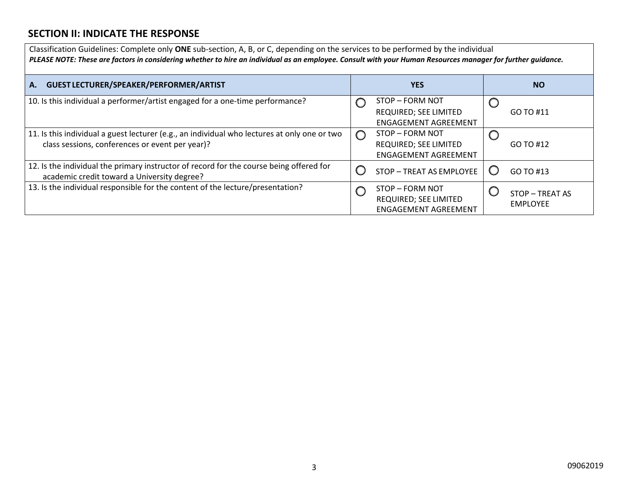## **SECTION II: INDICATE THE RESPONSE**

| Classification Guidelines: Complete only ONE sub-section, A, B, or C, depending on the services to be performed by the individual<br>PLEASE NOTE: These are factors in considering whether to hire an individual as an employee. Consult with your Human Resources manager for further guidance. |                                                                                       |                                    |  |  |  |
|--------------------------------------------------------------------------------------------------------------------------------------------------------------------------------------------------------------------------------------------------------------------------------------------------|---------------------------------------------------------------------------------------|------------------------------------|--|--|--|
| A. GUEST LECTURER/SPEAKER/PERFORMER/ARTIST                                                                                                                                                                                                                                                       | <b>YES</b>                                                                            | <b>NO</b>                          |  |  |  |
| 10. Is this individual a performer/artist engaged for a one-time performance?                                                                                                                                                                                                                    | STOP - FORM NOT<br>REQUIRED; SEE LIMITED<br><b>ENGAGEMENT AGREEMENT</b>               | GO TO #11                          |  |  |  |
| 11. Is this individual a guest lecturer (e.g., an individual who lectures at only one or two<br>class sessions, conferences or event per year)?                                                                                                                                                  | STOP - FORM NOT<br>$\bigcirc$<br>REQUIRED; SEE LIMITED<br><b>ENGAGEMENT AGREEMENT</b> | GO TO #12                          |  |  |  |
| 12. Is the individual the primary instructor of record for the course being offered for<br>academic credit toward a University degree?                                                                                                                                                           | STOP - TREAT AS EMPLOYEE                                                              | GO TO #13                          |  |  |  |
| 13. Is the individual responsible for the content of the lecture/presentation?                                                                                                                                                                                                                   | STOP - FORM NOT<br>REQUIRED; SEE LIMITED<br><b>ENGAGEMENT AGREEMENT</b>               | STOP - TREAT AS<br><b>EMPLOYEE</b> |  |  |  |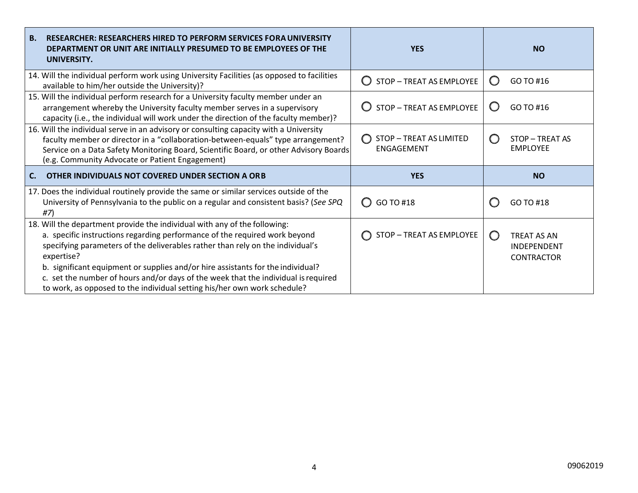| <b>B.</b><br>RESEARCHER: RESEARCHERS HIRED TO PERFORM SERVICES FORA UNIVERSITY<br>DEPARTMENT OR UNIT ARE INITIALLY PRESUMED TO BE EMPLOYEES OF THE<br>UNIVERSITY.                                                                                                                                                                                                                                                                                                                                            | <b>YES</b>                                   | <b>NO</b>                                                                   |
|--------------------------------------------------------------------------------------------------------------------------------------------------------------------------------------------------------------------------------------------------------------------------------------------------------------------------------------------------------------------------------------------------------------------------------------------------------------------------------------------------------------|----------------------------------------------|-----------------------------------------------------------------------------|
| 14. Will the individual perform work using University Facilities (as opposed to facilities<br>available to him/her outside the University)?                                                                                                                                                                                                                                                                                                                                                                  | STOP - TREAT AS EMPLOYEE                     | GO TO #16<br>O                                                              |
| 15. Will the individual perform research for a University faculty member under an<br>arrangement whereby the University faculty member serves in a supervisory<br>capacity (i.e., the individual will work under the direction of the faculty member)?                                                                                                                                                                                                                                                       | STOP - TREAT AS EMPLOYEE                     | GO TO #16<br>O                                                              |
| 16. Will the individual serve in an advisory or consulting capacity with a University<br>faculty member or director in a "collaboration-between-equals" type arrangement?<br>Service on a Data Safety Monitoring Board, Scientific Board, or other Advisory Boards<br>(e.g. Community Advocate or Patient Engagement)                                                                                                                                                                                        | STOP - TREAT AS LIMITED<br><b>ENGAGEMENT</b> | STOP - TREAT AS<br>( )<br><b>EMPLOYEE</b>                                   |
| OTHER INDIVIDUALS NOT COVERED UNDER SECTION A ORB                                                                                                                                                                                                                                                                                                                                                                                                                                                            | <b>YES</b>                                   | <b>NO</b>                                                                   |
| 17. Does the individual routinely provide the same or similar services outside of the<br>University of Pennsylvania to the public on a regular and consistent basis? (See SPQ<br>#7)                                                                                                                                                                                                                                                                                                                         | GO TO #18<br>$\bigcirc$                      | GO TO #18                                                                   |
| 18. Will the department provide the individual with any of the following:<br>a. specific instructions regarding performance of the required work beyond<br>specifying parameters of the deliverables rather than rely on the individual's<br>expertise?<br>b. significant equipment or supplies and/or hire assistants for the individual?<br>c. set the number of hours and/or days of the week that the individual is required<br>to work, as opposed to the individual setting his/her own work schedule? | STOP - TREAT AS EMPLOYEE                     | $\bigcirc$<br><b>TREAT AS AN</b><br><b>INDEPENDENT</b><br><b>CONTRACTOR</b> |